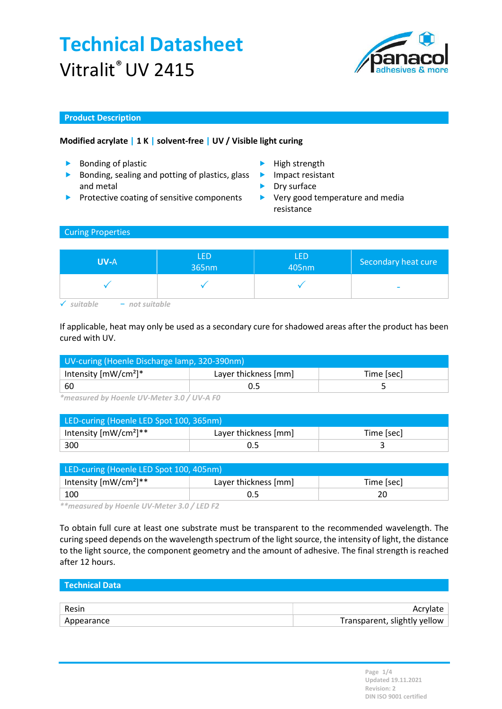# Technical Datasheet Vitralit® UV 2415



### Product Description

### Modified acrylate | 1 K | solvent-free | UV / Visible light curing

- ▶ Bonding of plastic and the High strength
- Bonding, sealing and potting of plastics, glass and metal
- Protective coating of sensitive components
- 
- **Impact resistant**
- Dry surface
- ▶ Very good temperature and media resistance

## Curing Properties

| <b>UV-A</b>      | <b>LED</b><br>365nm | LED<br>405nm | Secondary heat cure |
|------------------|---------------------|--------------|---------------------|
|                  |                     |              | -                   |
| $-$ not suitable |                     |              |                     |

If applicable, heat may only be used as a secondary cure for shadowed areas after the product has been cured with UV.

| UV-curing (Hoenle Discharge lamp, 320-390nm) |                                    |  |  |
|----------------------------------------------|------------------------------------|--|--|
| Intensity $[mW/cm^2]^*$                      | Layer thickness [mm]<br>Time [sec] |  |  |
| ່ 60                                         |                                    |  |  |

\*measured by Hoenle UV-Meter 3.0 / UV-A F0

| LED-curing (Hoenle LED Spot 100, 365nm) |                                    |  |  |  |
|-----------------------------------------|------------------------------------|--|--|--|
| Intensity $[mW/cm^2]^{**}$              | Layer thickness [mm]<br>Time [sec] |  |  |  |
| 300                                     |                                    |  |  |  |

| LED-curing (Hoenle LED Spot 100, 405nm) |                      |            |  |
|-----------------------------------------|----------------------|------------|--|
| Intensity $[mW/cm^2]^{**}$              | Layer thickness [mm] | Time [sec] |  |
| 100                                     |                      |            |  |

\*\*measured by Hoenle UV-Meter 3.0 / LED F2

To obtain full cure at least one substrate must be transparent to the recommended wavelength. The curing speed depends on the wavelength spectrum of the light source, the intensity of light, the distance to the light source, the component geometry and the amount of adhesive. The final strength is reached after 12 hours.

| l Technical Data |                              |
|------------------|------------------------------|
|                  |                              |
| Resin            | Acrylate                     |
| Appearance       | Transparent, slightly yellow |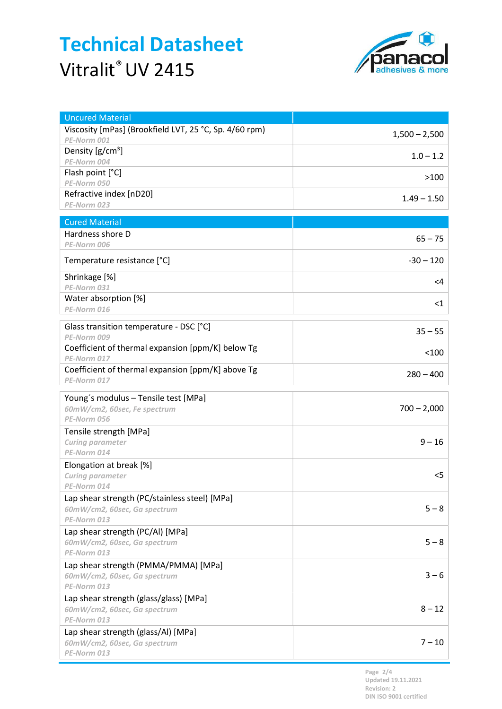# Technical Datasheet Vitralit® UV 2415



| <b>Uncured Material</b>                                |                 |
|--------------------------------------------------------|-----------------|
| Viscosity [mPas] (Brookfield LVT, 25 °C, Sp. 4/60 rpm) | $1,500 - 2,500$ |
| PE-Norm 001                                            |                 |
| Density [g/cm <sup>3</sup> ]                           | $1.0 - 1.2$     |
| PE-Norm 004                                            |                 |
| Flash point [°C]                                       | >100            |
| PE-Norm 050<br>Refractive index [nD20]                 |                 |
| PE-Norm 023                                            | $1.49 - 1.50$   |
|                                                        |                 |
| <b>Cured Material</b>                                  |                 |
| Hardness shore D                                       | $65 - 75$       |
| PE-Norm 006                                            |                 |
| Temperature resistance [°C]                            | $-30 - 120$     |
| Shrinkage [%]                                          | $<$ 4           |
| PE-Norm 031                                            |                 |
| Water absorption [%]                                   | $<$ 1           |
| PE-Norm 016                                            |                 |
| Glass transition temperature - DSC [°C]                |                 |
| PE-Norm 009                                            | $35 - 55$       |
| Coefficient of thermal expansion [ppm/K] below Tg      | $100$           |
| PE-Norm 017                                            |                 |
| Coefficient of thermal expansion [ppm/K] above Tg      | $280 - 400$     |
| PE-Norm 017                                            |                 |
| Young's modulus - Tensile test [MPa]                   |                 |
|                                                        |                 |
| 60mW/cm2, 60sec, Fe spectrum                           | $700 - 2,000$   |
| PE-Norm 056                                            |                 |
| Tensile strength [MPa]                                 |                 |
| Curing parameter                                       | $9 - 16$        |
| PE-Norm 014                                            |                 |
| Elongation at break [%]                                |                 |
| Curing parameter                                       | $<$ 5           |
| PE-Norm 014                                            |                 |
| Lap shear strength (PC/stainless steel) [MPa]          |                 |
| 60mW/cm2, 60sec, Ga spectrum                           | $5 - 8$         |
| PE-Norm 013                                            |                 |
| Lap shear strength (PC/Al) [MPa]                       |                 |
| 60mW/cm2, 60sec, Ga spectrum                           | $5 - 8$         |
| PE-Norm 013                                            |                 |
| Lap shear strength (PMMA/PMMA) [MPa]                   | $3 - 6$         |
| 60mW/cm2, 60sec, Ga spectrum<br>PE-Norm 013            |                 |
| Lap shear strength (glass/glass) [MPa]                 |                 |
| 60mW/cm2, 60sec, Ga spectrum                           | $8 - 12$        |
| PE-Norm 013                                            |                 |
| Lap shear strength (glass/Al) [MPa]                    |                 |
| 60mW/cm2, 60sec, Ga spectrum<br>PE-Norm 013            | $7 - 10$        |

Page 2/4 Updated 19.11.2021 Revision: 2 DIN ISO 9001 certified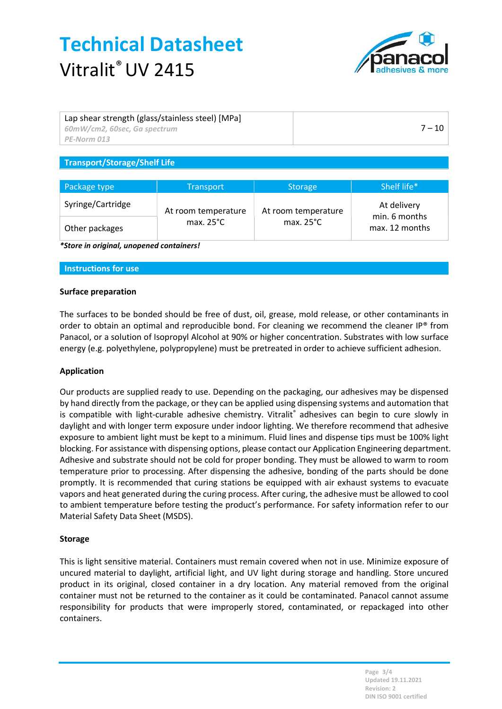# Technical Datasheet Vitralit<sup>®</sup> UV 2415



| Lap shear strength (glass/stainless steel) [MPa]<br>60mW/cm2, 60sec, Ga spectrum<br>$\mathsf{P}$ F-Norm 013 | $7 - 10$ |
|-------------------------------------------------------------------------------------------------------------|----------|
|                                                                                                             |          |
| $\tau$ . The state of $\tau$ is the state of $\tau$ is the state of $\tau$                                  |          |

### Transport/Storage/Shelf Life

| Package type      | <b>Transport</b>    | <b>Storage</b>      | Shelf life*                     |
|-------------------|---------------------|---------------------|---------------------------------|
| Syringe/Cartridge | At room temperature | At room temperature | At delivery                     |
| Other packages    | max. $25^{\circ}$ C | max. $25^{\circ}$ C | min. 6 months<br>max. 12 months |

\*Store in original, unopened containers!

#### Instructions for use

#### Surface preparation

The surfaces to be bonded should be free of dust, oil, grease, mold release, or other contaminants in order to obtain an optimal and reproducible bond. For cleaning we recommend the cleaner IP® from Panacol, or a solution of Isopropyl Alcohol at 90% or higher concentration. Substrates with low surface energy (e.g. polyethylene, polypropylene) must be pretreated in order to achieve sufficient adhesion.

#### Application

Our products are supplied ready to use. Depending on the packaging, our adhesives may be dispensed by hand directly from the package, or they can be applied using dispensing systems and automation that is compatible with light-curable adhesive chemistry. Vitralit® adhesives can begin to cure slowly in daylight and with longer term exposure under indoor lighting. We therefore recommend that adhesive exposure to ambient light must be kept to a minimum. Fluid lines and dispense tips must be 100% light blocking. For assistance with dispensing options, please contact our Application Engineering department. Adhesive and substrate should not be cold for proper bonding. They must be allowed to warm to room temperature prior to processing. After dispensing the adhesive, bonding of the parts should be done promptly. It is recommended that curing stations be equipped with air exhaust systems to evacuate vapors and heat generated during the curing process. After curing, the adhesive must be allowed to cool to ambient temperature before testing the product's performance. For safety information refer to our Material Safety Data Sheet (MSDS).

#### **Storage**

This is light sensitive material. Containers must remain covered when not in use. Minimize exposure of uncured material to daylight, artificial light, and UV light during storage and handling. Store uncured product in its original, closed container in a dry location. Any material removed from the original container must not be returned to the container as it could be contaminated. Panacol cannot assume responsibility for products that were improperly stored, contaminated, or repackaged into other containers.